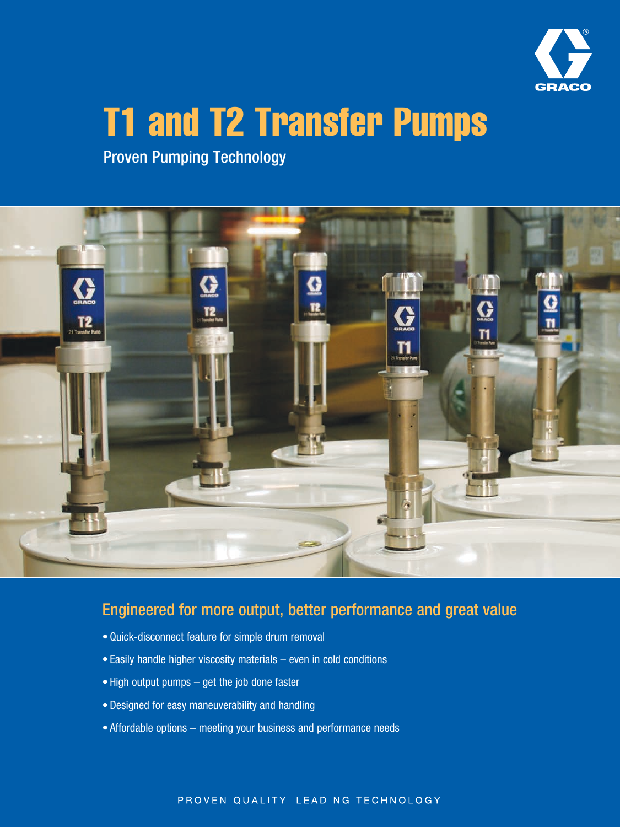

# T1 and T2 Transfer Pumps

Proven Pumping Technology



## Engineered for more output, better performance and great value

- Quick-disconnect feature for simple drum removal
- Easily handle higher viscosity materials even in cold conditions
- High output pumps get the job done faster
- Designed for easy maneuverability and handling
- Affordable options meeting your business and performance needs

#### PROVEN QUALITY, LEADING TECHNOLOGY,